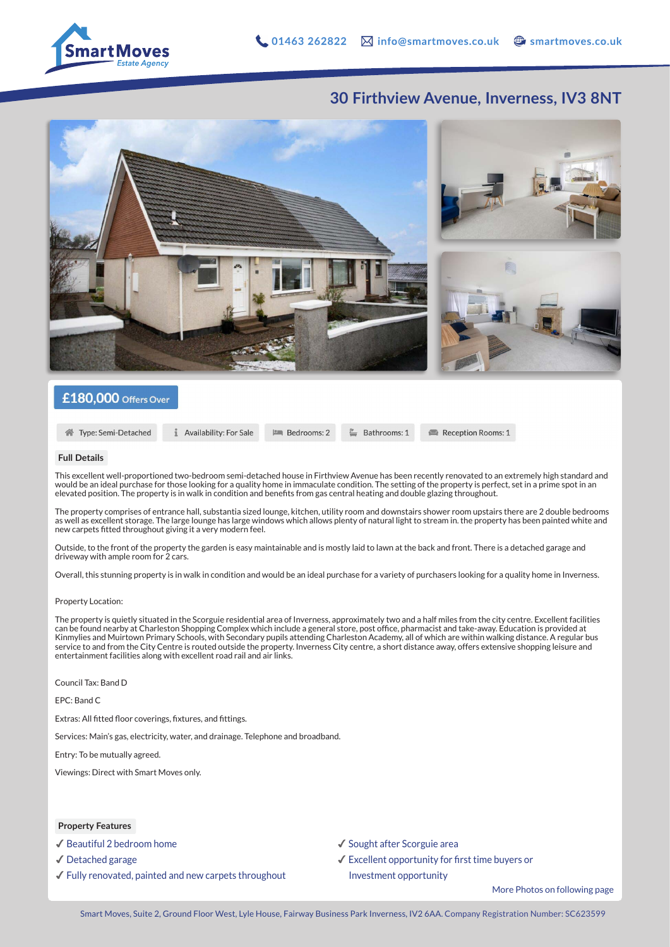

## **30 Firthview Avenue, Inverness, IV3 8NT**



## £180,000 Offers Over

```
Type: Semi-Detached
```
Availability: For Sale **PM** Bedrooms: 2

 $\mathbb{P}$  Bathrooms: 1

Reception Rooms: 1

#### **Full Details**

This excellent well-proportioned two-bedroom semi-detached house in Firthview Avenue has been recently renovated to an extremely high standard and would be an ideal purchase for those looking for a quality home in immaculate condition. The setting of the property is perfect, set in a prime spot in an elevated position. The property is in walk in condition and benefits from gas central heating and double glazing throughout.

The property comprises of entrance hall, substantia sized lounge, kitchen, utility room and downstairs shower room upstairs there are 2 double bedrooms as well as excellent storage. The large lounge has large windows which allows plenty of natural light to stream in. the property has been painted white and new carpets fitted throughout giving it a very modern feel.

Outside, to the front of the property the garden is easy maintainable and is mostly laid to lawn at the back and front. There is a detached garage and driveway with ample room for 2 cars.

Overall, this stunning property is in walk in condition and would be an ideal purchase for a variety of purchasers looking for a quality home in Inverness.

#### Property Location:

The property is quietly situated in the Scorguie residential area of Inverness, approximately two and a half miles from the city centre. Excellent facilities can be found nearby at Charleston Shopping Complex which include a general store, post office, pharmacist and take-away. Education is provided at Kinmylies and Muirtown Primary Schools, with Secondary pupils attending Charleston Academy, all of which are within walking distance. A regular bus service to and from the City Centre is routed outside the property. Inverness City centre, a short distance away, offers extensive shopping leisure and entertainment facilities along with excellent road rail and air links.

Council Tax: Band D

EPC: Band C

Extras: All fitted floor coverings, fixtures, and fittings.

Services: Main's gas, electricity, water, and drainage. Telephone and broadband.

Entry: To be mutually agreed.

Viewings: Direct with Smart Moves only.

### **Property Features**

✔︎ Beautiful 2 bedroom home

- ✔︎ Detached garage
- ✔︎ Fully renovated, painted and new carpets throughout
- ✔︎ Sought after Scorguie area
- ✔︎ Excellent opportunity for first time buyers or Investment opportunity

More Photos on following page